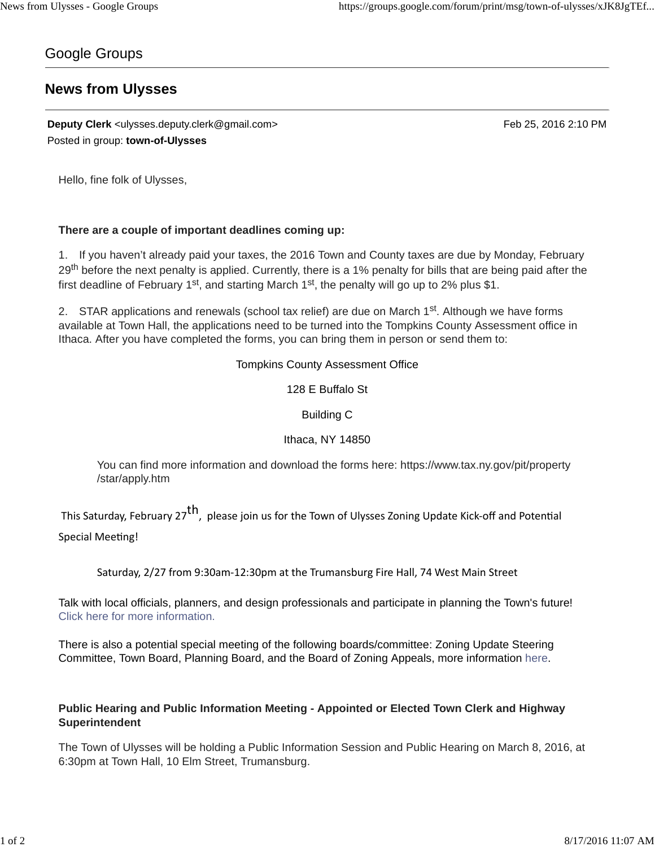## Google Groups

# **News from Ulysses**

**Deputy Clerk** <ulysses.deputy.clerk@gmail.com> Feb 25, 2016 2:10 PM Posted in group: **town-of-Ulysses**

Hello, fine folk of Ulysses,

#### **There are a couple of important deadlines coming up:**

1. If you haven't already paid your taxes, the 2016 Town and County taxes are due by Monday, February 29<sup>th</sup> before the next penalty is applied. Currently, there is a 1% penalty for bills that are being paid after the first deadline of February 1<sup>st</sup>, and starting March 1<sup>st</sup>, the penalty will go up to 2% plus \$1.

2. STAR applications and renewals (school tax relief) are due on March 1<sup>st</sup>. Although we have forms available at Town Hall, the applications need to be turned into the Tompkins County Assessment office in Ithaca. After you have completed the forms, you can bring them in person or send them to:

Tompkins County Assessment Office

128 E Buffalo St

Building C

Ithaca, NY 14850

You can find more information and download the forms here: https://www.tax.ny.gov/pit/property /star/apply.htm

This Saturday, February 27<sup>th</sup>, please join us for the Town of Ulysses Zoning Update Kick-off and Potential Special Meeting!

Saturday, 2/27 from 9:30am-12:30pm at the Trumansburg Fire Hall, 74 West Main Street

Talk with local officials, planners, and design professionals and participate in planning the Town's future! Click here for more information.

There is also a potential special meeting of the following boards/committee: Zoning Update Steering Committee, Town Board, Planning Board, and the Board of Zoning Appeals, more information here.

### **Public Hearing and Public Information Meeting - Appointed or Elected Town Clerk and Highway Superintendent**

The Town of Ulysses will be holding a Public Information Session and Public Hearing on March 8, 2016, at 6:30pm at Town Hall, 10 Elm Street, Trumansburg.